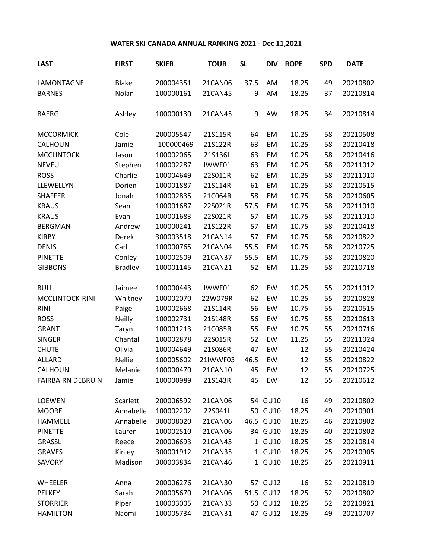## **WATER SKI CANADA ANNUAL RANKING 2021 - Dec 11,2021**

| <b>LAST</b>              | <b>FIRST</b>   | <b>SKIER</b> | <b>TOUR</b> | <b>SL</b> | <b>DIV</b> | <b>ROPE</b> | <b>SPD</b> | <b>DATE</b> |
|--------------------------|----------------|--------------|-------------|-----------|------------|-------------|------------|-------------|
| LAMONTAGNE               | <b>Blake</b>   | 200004351    | 21CAN06     | 37.5      | AM         | 18.25       | 49         | 20210802    |
| <b>BARNES</b>            | Nolan          | 100000161    | 21CAN45     | 9         | AM         | 18.25       | 37         | 20210814    |
| <b>BAERG</b>             | Ashley         | 100000130    | 21CAN45     | 9         | AW         | 18.25       | 34         | 20210814    |
| <b>MCCORMICK</b>         | Cole           | 200005547    | 21S115R     | 64        | EM         | 10.25       | 58         | 20210508    |
| CALHOUN                  | Jamie          | 100000469    | 21S122R     | 63        | EM         | 10.25       | 58         | 20210418    |
| <b>MCCLINTOCK</b>        | Jason          | 100002065    | 21S136L     | 63        | EM         | 10.25       | 58         | 20210416    |
| <b>NEVEU</b>             | Stephen        | 100002287    | IWWF01      | 63        | EM         | 10.25       | 58         | 20211012    |
| <b>ROSS</b>              | Charlie        | 100004649    | 22S011R     | 62        | EM         | 10.25       | 58         | 20211010    |
| LLEWELLYN                | Dorien         | 100001887    | 21S114R     | 61        | EM         | 10.25       | 58         | 20210515    |
| <b>SHAFFER</b>           | Jonah          | 100002835    | 21C064R     | 58        | EM         | 10.75       | 58         | 20210605    |
| <b>KRAUS</b>             | Sean           | 100001687    | 22S021R     | 57.5      | EM         | 10.75       | 58         | 20211010    |
| <b>KRAUS</b>             | Evan           | 100001683    | 22S021R     | 57        | EM         | 10.75       | 58         | 20211010    |
| <b>BERGMAN</b>           | Andrew         | 100000241    | 21S122R     | 57        | EM         | 10.75       | 58         | 20210418    |
| <b>KIRBY</b>             | Derek          | 300003518    | 21CAN14     | 57        | EM         | 10.75       | 58         | 20210822    |
| <b>DENIS</b>             | Carl           | 100000765    | 21CAN04     | 55.5      | EM         | 10.75       | 58         | 20210725    |
| <b>PINETTE</b>           | Conley         | 100002509    | 21CAN37     | 55.5      | EM         | 10.75       | 58         | 20210820    |
| <b>GIBBONS</b>           | <b>Bradley</b> | 100001145    | 21CAN21     | 52        | EM         | 11.25       | 58         | 20210718    |
| <b>BULL</b>              | Jaimee         | 100000443    | IWWF01      | 62        | EW         | 10.25       | 55         | 20211012    |
| MCCLINTOCK-RINI          | Whitney        | 100002070    | 22W079R     | 62        | EW         | 10.25       | 55         | 20210828    |
| <b>RINI</b>              | Paige          | 100002668    | 21S114R     | 56        | EW         | 10.75       | 55         | 20210515    |
| <b>ROSS</b>              | <b>Neilly</b>  | 100002731    | 21S148R     | 56        | EW         | 10.75       | 55         | 20210613    |
| <b>GRANT</b>             | Taryn          | 100001213    | 21C085R     | 55        | EW         | 10.75       | 55         | 20210716    |
| <b>SINGER</b>            | Chantal        | 100002878    | 22S015R     | 52        | EW         | 11.25       | 55         | 20211024    |
| <b>CHUTE</b>             | Olivia         | 100004649    | 21S086R     | 47        | EW         | 12          | 55         | 20210424    |
| <b>ALLARD</b>            | <b>Nellie</b>  | 100005602    | 21IWWF03    | 46.5      | EW         | 12          | 55         | 20210822    |
| CALHOUN                  | Melanie        | 100000470    | 21CAN10     | 45        | EW         | 12          | 55         | 20210725    |
| <b>FAIRBAIRN DEBRUIN</b> | Jamie          | 100000989    | 21S143R     | 45        | EW         | 12          | 55         | 20210612    |
| <b>LOEWEN</b>            | Scarlett       | 200006592    | 21CAN06     |           | 54 GU10    | 16          | 49         | 20210802    |
| <b>MOORE</b>             | Annabelle      | 100002202    | 22S041L     |           | 50 GU10    | 18.25       | 49         | 20210901    |
| <b>HAMMELL</b>           | Annabelle      | 300008020    | 21CAN06     |           | 46.5 GU10  | 18.25       | 46         | 20210802    |
| <b>PINETTE</b>           | Lauren         | 100002510    | 21CAN06     |           | 34 GU10    | 18.25       | 40         | 20210802    |
| GRASSL                   | Reece          | 200006693    | 21CAN45     |           | 1 GU10     | 18.25       | 25         | 20210814    |
| <b>GRAVES</b>            | Kinley         | 300001912    | 21CAN35     |           | 1 GU10     | 18.25       | 25         | 20210905    |
| SAVORY                   | Madison        | 300003834    | 21CAN46     |           | 1 GU10     | 18.25       | 25         | 20210911    |
| WHEELER                  | Anna           | 200006276    | 21CAN30     |           | 57 GU12    | 16          | 52         | 20210819    |
| PELKEY                   | Sarah          | 200005670    | 21CAN06     |           | 51.5 GU12  | 18.25       | 52         | 20210802    |
| <b>STORRIER</b>          | Piper          | 100003005    | 21CAN33     |           | 50 GU12    | 18.25       | 52         | 20210821    |
| <b>HAMILTON</b>          | Naomi          | 100005734    | 21CAN31     |           | 47 GU12    | 18.25       | 49         | 20210707    |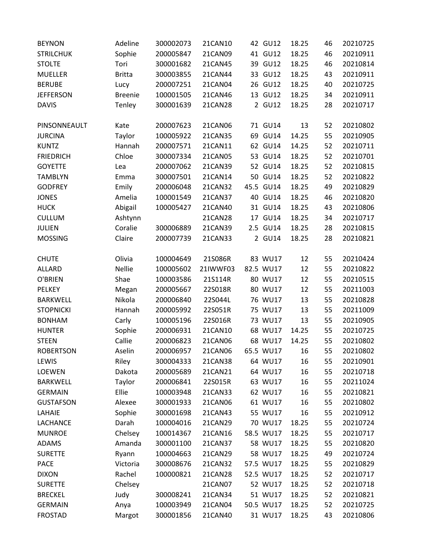| <b>BEYNON</b>    | Adeline        | 300002073 | 21CAN10  | 42 GU12   | 18.25 | 46 | 20210725 |
|------------------|----------------|-----------|----------|-----------|-------|----|----------|
| <b>STRILCHUK</b> | Sophie         | 200005847 | 21CAN09  | 41 GU12   | 18.25 | 46 | 20210911 |
| <b>STOLTE</b>    | Tori           | 300001682 | 21CAN45  | 39 GU12   | 18.25 | 46 | 20210814 |
| <b>MUELLER</b>   | <b>Britta</b>  | 300003855 | 21CAN44  | 33 GU12   | 18.25 | 43 | 20210911 |
| <b>BERUBE</b>    | Lucy           | 200007251 | 21CAN04  | 26 GU12   | 18.25 | 40 | 20210725 |
| <b>JEFFERSON</b> | <b>Breenie</b> | 100001505 | 21CAN46  | 13 GU12   | 18.25 | 34 | 20210911 |
| <b>DAVIS</b>     | Tenley         | 300001639 | 21CAN28  | 2 GU12    | 18.25 | 28 | 20210717 |
| PINSONNEAULT     | Kate           | 200007623 | 21CAN06  | 71 GU14   | 13    | 52 | 20210802 |
| <b>JURCINA</b>   | Taylor         | 100005922 | 21CAN35  | 69 GU14   | 14.25 | 55 | 20210905 |
| <b>KUNTZ</b>     | Hannah         | 200007571 | 21CAN11  | 62 GU14   | 14.25 | 52 | 20210711 |
| <b>FRIEDRICH</b> | Chloe          | 300007334 | 21CAN05  | 53 GU14   | 18.25 | 52 | 20210701 |
| <b>GOYETTE</b>   | Lea            | 200007062 | 21CAN39  | 52 GU14   | 18.25 | 52 | 20210815 |
| <b>TAMBLYN</b>   | Emma           | 300007501 | 21CAN14  | 50 GU14   | 18.25 | 52 | 20210822 |
| <b>GODFREY</b>   | Emily          | 200006048 | 21CAN32  | 45.5 GU14 | 18.25 | 49 | 20210829 |
| <b>JONES</b>     | Amelia         | 100001549 | 21CAN37  | 40 GU14   | 18.25 | 46 | 20210820 |
| <b>HUCK</b>      | Abigail        | 100005427 | 21CAN40  | 31 GU14   | 18.25 | 43 | 20210806 |
| <b>CULLUM</b>    | Ashtynn        |           | 21CAN28  | 17 GU14   | 18.25 | 34 | 20210717 |
| <b>JULIEN</b>    | Coralie        | 300006889 | 21CAN39  | 2.5 GU14  | 18.25 | 28 | 20210815 |
| <b>MOSSING</b>   | Claire         | 200007739 | 21CAN33  | 2 GU14    | 18.25 | 28 | 20210821 |
| <b>CHUTE</b>     | Olivia         | 100004649 | 21S086R  | 83 WU17   | 12    | 55 | 20210424 |
| ALLARD           | <b>Nellie</b>  | 100005602 | 21IWWF03 | 82.5 WU17 | 12    | 55 | 20210822 |
| O'BRIEN          | Shae           | 100003586 | 21S114R  | 80 WU17   | 12    | 55 | 20210515 |
| <b>PELKEY</b>    | Megan          | 200005667 | 22S018R  | 80 WU17   | 12    | 55 | 20211003 |
| <b>BARKWELL</b>  | Nikola         | 200006840 | 22S044L  | 76 WU17   | 13    | 55 | 20210828 |
| <b>STOPNICKI</b> | Hannah         | 200005992 | 22S051R  | 75 WU17   | 13    | 55 | 20211009 |
| <b>BONHAM</b>    | Carly          | 100005196 | 22S016R  | 73 WU17   | 13    | 55 | 20210905 |
| <b>HUNTER</b>    | Sophie         | 200006931 | 21CAN10  | 68 WU17   | 14.25 | 55 | 20210725 |
| <b>STEEN</b>     | Callie         | 200006823 | 21CAN06  | 68 WU17   | 14.25 | 55 | 20210802 |
| <b>ROBERTSON</b> | Aselin         | 200006957 | 21CAN06  | 65.5 WU17 | 16    | 55 | 20210802 |
| LEWIS            | Riley          | 300004333 | 21CAN38  | 64 WU17   | 16    | 55 | 20210901 |
| LOEWEN           | Dakota         | 200005689 | 21CAN21  | 64 WU17   | 16    | 55 | 20210718 |
| <b>BARKWELL</b>  | Taylor         | 200006841 | 22S015R  | 63 WU17   | 16    | 55 | 20211024 |
| <b>GERMAIN</b>   | Ellie          | 100003948 | 21CAN33  | 62 WU17   | 16    | 55 | 20210821 |
| <b>GUSTAFSON</b> | Alexee         | 300001933 | 21CAN06  | 61 WU17   | 16    | 55 | 20210802 |
| LAHAIE           | Sophie         | 300001698 | 21CAN43  | 55 WU17   | 16    | 55 | 20210912 |
| LACHANCE         | Darah          | 100004016 | 21CAN29  | 70 WU17   | 18.25 | 55 | 20210724 |
| <b>MUNROE</b>    | Chelsey        | 100014367 | 21CAN16  | 58.5 WU17 | 18.25 | 55 | 20210717 |
| <b>ADAMS</b>     | Amanda         | 300001100 | 21CAN37  | 58 WU17   | 18.25 | 55 | 20210820 |
| <b>SURETTE</b>   | Ryann          | 100004663 | 21CAN29  | 58 WU17   | 18.25 | 49 | 20210724 |
| <b>PACE</b>      | Victoria       | 300008676 | 21CAN32  | 57.5 WU17 | 18.25 | 55 | 20210829 |
| <b>DIXON</b>     | Rachel         | 100000821 | 21CAN28  | 52.5 WU17 | 18.25 | 52 | 20210717 |
| <b>SURETTE</b>   | Chelsey        |           | 21CAN07  | 52 WU17   | 18.25 | 52 | 20210718 |
| <b>BRECKEL</b>   | Judy           | 300008241 | 21CAN34  | 51 WU17   | 18.25 | 52 | 20210821 |
| <b>GERMAIN</b>   | Anya           | 100003949 | 21CAN04  | 50.5 WU17 | 18.25 | 52 | 20210725 |
| <b>FROSTAD</b>   | Margot         | 300001856 | 21CAN40  | 31 WU17   | 18.25 | 43 | 20210806 |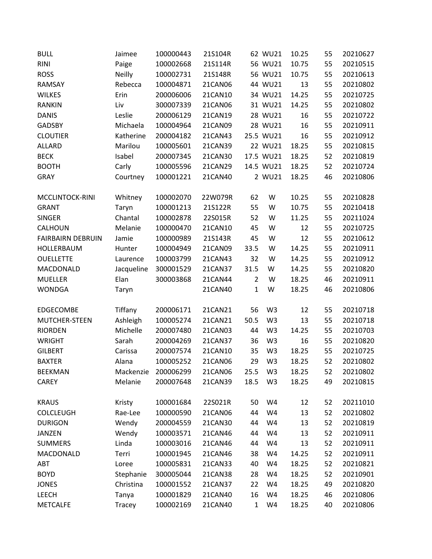| <b>BULL</b>              | Jaimee        | 100000443 | 21S104R |                | 62 WU21        | 10.25 | 55 | 20210627 |
|--------------------------|---------------|-----------|---------|----------------|----------------|-------|----|----------|
| <b>RINI</b>              | Paige         | 100002668 | 21S114R |                | 56 WU21        | 10.75 | 55 | 20210515 |
| <b>ROSS</b>              | <b>Neilly</b> | 100002731 | 21S148R |                | 56 WU21        | 10.75 | 55 | 20210613 |
| <b>RAMSAY</b>            | Rebecca       | 100004871 | 21CAN06 |                | 44 WU21        | 13    | 55 | 20210802 |
| <b>WILKES</b>            | Erin          | 200006006 | 21CAN10 |                | 34 WU21        | 14.25 | 55 | 20210725 |
| <b>RANKIN</b>            | Liv           | 300007339 | 21CAN06 |                | 31 WU21        | 14.25 | 55 | 20210802 |
| <b>DANIS</b>             | Leslie        | 200006129 | 21CAN19 |                | 28 WU21        | 16    | 55 | 20210722 |
| <b>GADSBY</b>            | Michaela      | 100004964 | 21CAN09 |                | 28 WU21        | 16    | 55 | 20210911 |
| <b>CLOUTIER</b>          | Katherine     | 200004182 | 21CAN43 |                | 25.5 WU21      | 16    | 55 | 20210912 |
| <b>ALLARD</b>            | Marilou       | 100005601 | 21CAN39 |                | 22 WU21        | 18.25 | 55 | 20210815 |
| <b>BECK</b>              | Isabel        | 200007345 | 21CAN30 |                | 17.5 WU21      | 18.25 | 52 | 20210819 |
| <b>BOOTH</b>             | Carly         | 100005596 | 21CAN29 |                | 14.5 WU21      | 18.25 | 52 | 20210724 |
| <b>GRAY</b>              | Courtney      | 100001221 | 21CAN40 |                | 2 WU21         | 18.25 | 46 | 20210806 |
| MCCLINTOCK-RINI          | Whitney       | 100002070 | 22W079R | 62             | W              | 10.25 | 55 | 20210828 |
| <b>GRANT</b>             | Taryn         | 100001213 | 21S122R | 55             | W              | 10.75 | 55 | 20210418 |
| <b>SINGER</b>            | Chantal       | 100002878 | 22S015R | 52             | W              | 11.25 | 55 | 20211024 |
| CALHOUN                  | Melanie       | 100000470 | 21CAN10 | 45             | W              | 12    | 55 | 20210725 |
| <b>FAIRBAIRN DEBRUIN</b> | Jamie         | 100000989 | 21S143R | 45             | W              | 12    | 55 | 20210612 |
| HOLLERBAUM               | Hunter        | 100004949 | 21CAN09 | 33.5           | W              | 14.25 | 55 | 20210911 |
| <b>OUELLETTE</b>         | Laurence      | 100003799 | 21CAN43 | 32             | W              | 14.25 | 55 | 20210912 |
| MACDONALD                | Jacqueline    | 300001529 | 21CAN37 | 31.5           | W              | 14.25 | 55 | 20210820 |
| <b>MUELLER</b>           | Elan          | 300003868 | 21CAN44 | $\overline{2}$ | W              | 18.25 | 46 | 20210911 |
| <b>WONDGA</b>            | Taryn         |           | 21CAN40 | $\mathbf{1}$   | W              | 18.25 | 46 | 20210806 |
| <b>EDGECOMBE</b>         | Tiffany       | 200006171 | 21CAN21 | 56             | W <sub>3</sub> | 12    | 55 | 20210718 |
| MUTCHER-STEEN            | Ashleigh      | 100005274 | 21CAN21 | 50.5           | W <sub>3</sub> | 13    | 55 | 20210718 |
| <b>RIORDEN</b>           | Michelle      | 200007480 | 21CAN03 | 44             | W <sub>3</sub> | 14.25 | 55 | 20210703 |
| <b>WRIGHT</b>            | Sarah         | 200004269 | 21CAN37 | 36             | W <sub>3</sub> | 16    | 55 | 20210820 |
| <b>GILBERT</b>           | Carissa       | 200007574 | 21CAN10 | 35             | W <sub>3</sub> | 18.25 | 55 | 20210725 |
| <b>BAXTER</b>            | Alana         | 100005252 | 21CAN06 | 29             | W <sub>3</sub> | 18.25 | 52 | 20210802 |
| <b>BEEKMAN</b>           | Mackenzie     | 200006299 | 21CAN06 | 25.5           | W <sub>3</sub> | 18.25 | 52 | 20210802 |
| <b>CAREY</b>             | Melanie       | 200007648 | 21CAN39 | 18.5           | W <sub>3</sub> | 18.25 | 49 | 20210815 |
| <b>KRAUS</b>             | Kristy        | 100001684 | 22S021R | 50             | W4             | 12    | 52 | 20211010 |
| <b>COLCLEUGH</b>         | Rae-Lee       | 100000590 | 21CAN06 | 44             | W4             | 13    | 52 | 20210802 |
| <b>DURIGON</b>           | Wendy         | 200004559 | 21CAN30 | 44             | W4             | 13    | 52 | 20210819 |
| <b>JANZEN</b>            | Wendy         | 100003571 | 21CAN46 | 44             | W4             | 13    | 52 | 20210911 |
| <b>SUMMERS</b>           | Linda         | 100003016 | 21CAN46 | 44             | W4             | 13    | 52 | 20210911 |
| MACDONALD                | Terri         | 100001945 | 21CAN46 | 38             | W4             | 14.25 | 52 | 20210911 |
| ABT                      | Loree         | 100005831 | 21CAN33 | 40             | W4             | 18.25 | 52 | 20210821 |
| <b>BOYD</b>              | Stephanie     | 300005044 | 21CAN38 | 28             | W4             | 18.25 | 52 | 20210901 |
| <b>JONES</b>             | Christina     | 100001552 | 21CAN37 | 22             | W4             | 18.25 | 49 | 20210820 |
| <b>LEECH</b>             | Tanya         | 100001829 | 21CAN40 | 16             | W4             | 18.25 | 46 | 20210806 |
| <b>METCALFE</b>          | Tracey        | 100002169 | 21CAN40 | $\mathbf 1$    | W4             | 18.25 | 40 | 20210806 |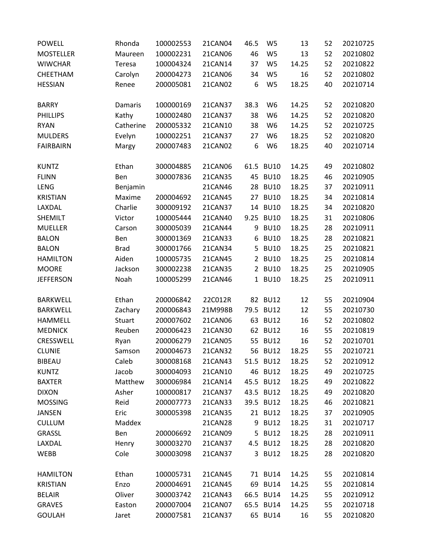| <b>POWELL</b>    | Rhonda      | 100002553 | 21CAN04 | 46.5 | W <sub>5</sub> | 13    | 52 | 20210725 |
|------------------|-------------|-----------|---------|------|----------------|-------|----|----------|
| <b>MOSTELLER</b> | Maureen     | 100002231 | 21CAN06 | 46   | W <sub>5</sub> | 13    | 52 | 20210802 |
| <b>WIWCHAR</b>   | Teresa      | 100004324 | 21CAN14 | 37   | W <sub>5</sub> | 14.25 | 52 | 20210822 |
| CHEETHAM         | Carolyn     | 200004273 | 21CAN06 | 34   | W <sub>5</sub> | 16    | 52 | 20210802 |
| <b>HESSIAN</b>   | Renee       | 200005081 | 21CAN02 | 6    | W <sub>5</sub> | 18.25 | 40 | 20210714 |
|                  |             |           |         |      |                |       |    |          |
| <b>BARRY</b>     | Damaris     | 100000169 | 21CAN37 | 38.3 | W <sub>6</sub> | 14.25 | 52 | 20210820 |
| <b>PHILLIPS</b>  | Kathy       | 100002480 | 21CAN37 | 38   | W6             | 14.25 | 52 | 20210820 |
| <b>RYAN</b>      | Catherine   | 200005332 | 21CAN10 | 38   | W <sub>6</sub> | 14.25 | 52 | 20210725 |
| <b>MULDERS</b>   | Evelyn      | 100002251 | 21CAN37 | 27   | W <sub>6</sub> | 18.25 | 52 | 20210820 |
| <b>FAIRBAIRN</b> | Margy       | 200007483 | 21CAN02 | 6    | W <sub>6</sub> | 18.25 | 40 | 20210714 |
| <b>KUNTZ</b>     | Ethan       | 300004885 | 21CAN06 |      | 61.5 BU10      | 14.25 | 49 | 20210802 |
| <b>FLINN</b>     | Ben         | 300007836 | 21CAN35 | 45   | <b>BU10</b>    | 18.25 | 46 | 20210905 |
| LENG             | Benjamin    |           | 21CAN46 | 28   | <b>BU10</b>    | 18.25 | 37 | 20210911 |
| <b>KRISTIAN</b>  | Maxime      | 200004692 | 21CAN45 |      | 27 BU10        | 18.25 | 34 | 20210814 |
| LAXDAL           | Charlie     | 300009192 | 21CAN37 | 14   | <b>BU10</b>    | 18.25 | 34 | 20210820 |
| SHEMILT          | Victor      | 100005444 | 21CAN40 | 9.25 | <b>BU10</b>    | 18.25 | 31 | 20210806 |
| <b>MUELLER</b>   | Carson      | 300005039 | 21CAN44 | 9    | <b>BU10</b>    | 18.25 | 28 | 20210911 |
| <b>BALON</b>     | Ben         | 300001369 | 21CAN33 | 6    | <b>BU10</b>    | 18.25 | 28 | 20210821 |
| <b>BALON</b>     | <b>Brad</b> | 300001766 | 21CAN34 | 5    | <b>BU10</b>    | 18.25 | 25 | 20210821 |
| <b>HAMILTON</b>  | Aiden       | 100005735 | 21CAN45 |      | 2 BU10         | 18.25 | 25 | 20210814 |
| <b>MOORE</b>     | Jackson     | 300002238 | 21CAN35 |      | 2 BU10         | 18.25 | 25 | 20210905 |
| <b>JEFFERSON</b> | Noah        | 100005299 | 21CAN46 |      | 1 BU10         | 18.25 | 25 | 20210911 |
|                  |             |           |         |      |                |       |    |          |
| <b>BARKWELL</b>  | Ethan       | 200006842 | 22C012R |      | 82 BU12        | 12    | 55 | 20210904 |
| <b>BARKWELL</b>  | Zachary     | 200006843 | 21M998B |      | 79.5 BU12      | 12    | 55 | 20210730 |
| <b>HAMMELL</b>   | Stuart      | 200007602 | 21CAN06 |      | 63 BU12        | 16    | 52 | 20210802 |
| <b>MEDNICK</b>   | Reuben      | 200006423 | 21CAN30 |      | 62 BU12        | 16    | 55 | 20210819 |
| CRESSWELL        | Ryan        | 200006279 | 21CAN05 | 55   | <b>BU12</b>    | 16    | 52 | 20210701 |
| <b>CLUNIE</b>    | Samson      | 200004673 | 21CAN32 |      | 56 BU12        | 18.25 | 55 | 20210721 |
| <b>BIBEAU</b>    | Caleb       | 300008168 | 21CAN43 |      | 51.5 BU12      | 18.25 | 52 | 20210912 |
| <b>KUNTZ</b>     | Jacob       | 300004093 | 21CAN10 |      | 46 BU12        | 18.25 | 49 | 20210725 |
| <b>BAXTER</b>    | Matthew     | 300006984 | 21CAN14 |      | 45.5 BU12      | 18.25 | 49 | 20210822 |
| <b>DIXON</b>     | Asher       | 100000817 | 21CAN37 |      | 43.5 BU12      | 18.25 | 49 | 20210820 |
| <b>MOSSING</b>   | Reid        | 200007773 | 21CAN33 |      | 39.5 BU12      | 18.25 | 46 | 20210821 |
| <b>JANSEN</b>    | Eric        | 300005398 | 21CAN35 |      | 21 BU12        | 18.25 | 37 | 20210905 |
| <b>CULLUM</b>    | Maddex      |           | 21CAN28 | 9    | <b>BU12</b>    | 18.25 | 31 | 20210717 |
| GRASSL           | Ben         | 200006692 | 21CAN09 |      | 5 BU12         | 18.25 | 28 | 20210911 |
| LAXDAL           | Henry       | 300003270 | 21CAN37 |      | 4.5 BU12       | 18.25 | 28 | 20210820 |
| WEBB             | Cole        | 300003098 | 21CAN37 |      | 3 BU12         | 18.25 | 28 | 20210820 |
|                  |             |           |         |      |                |       |    |          |
| <b>HAMILTON</b>  | Ethan       | 100005731 | 21CAN45 |      | 71 BU14        | 14.25 | 55 | 20210814 |
| <b>KRISTIAN</b>  | Enzo        | 200004691 | 21CAN45 |      | 69 BU14        | 14.25 | 55 | 20210814 |
| <b>BELAIR</b>    | Oliver      | 300003742 | 21CAN43 |      | 66.5 BU14      | 14.25 | 55 | 20210912 |
| <b>GRAVES</b>    | Easton      | 200007004 | 21CAN07 |      | 65.5 BU14      | 14.25 | 55 | 20210718 |
| <b>GOULAH</b>    | Jaret       | 200007581 | 21CAN37 |      | 65 BU14        | 16    | 55 | 20210820 |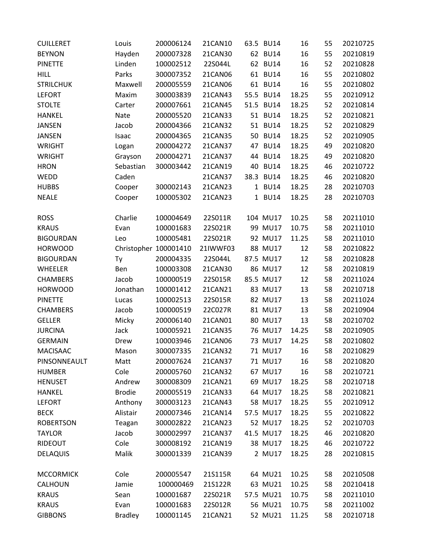| <b>CUILLERET</b> | Louis                 | 200006124 | 21CAN10  |    | 63.5 BU14   | 16    | 55 | 20210725 |
|------------------|-----------------------|-----------|----------|----|-------------|-------|----|----------|
| <b>BEYNON</b>    | Hayden                | 200007328 | 21CAN30  |    | 62 BU14     | 16    | 55 | 20210819 |
| <b>PINETTE</b>   | Linden                | 100002512 | 22S044L  |    | 62 BU14     | 16    | 52 | 20210828 |
| <b>HILL</b>      | Parks                 | 300007352 | 21CAN06  |    | 61 BU14     | 16    | 55 | 20210802 |
| <b>STRILCHUK</b> | Maxwell               | 200005559 | 21CAN06  |    | 61 BU14     | 16    | 55 | 20210802 |
| <b>LEFORT</b>    | Maxim                 | 300003839 | 21CAN43  |    | 55.5 BU14   | 18.25 | 55 | 20210912 |
| <b>STOLTE</b>    | Carter                | 200007661 | 21CAN45  |    | 51.5 BU14   | 18.25 | 52 | 20210814 |
| <b>HANKEL</b>    | Nate                  | 200005520 | 21CAN33  |    | 51 BU14     | 18.25 | 52 | 20210821 |
| <b>JANSEN</b>    | Jacob                 | 200004366 | 21CAN32  |    | 51 BU14     | 18.25 | 52 | 20210829 |
| <b>JANSEN</b>    | Isaac                 | 200004365 | 21CAN35  |    | 50 BU14     | 18.25 | 52 | 20210905 |
| <b>WRIGHT</b>    | Logan                 | 200004272 | 21CAN37  |    | 47 BU14     | 18.25 | 49 | 20210820 |
| <b>WRIGHT</b>    | Grayson               | 200004271 | 21CAN37  |    | 44 BU14     | 18.25 | 49 | 20210820 |
| <b>HRON</b>      | Sebastian             | 300003442 | 21CAN19  | 40 | <b>BU14</b> | 18.25 | 46 | 20210722 |
| WEDD             | Caden                 |           | 21CAN37  |    | 38.3 BU14   | 18.25 | 46 | 20210820 |
| <b>HUBBS</b>     | Cooper                | 300002143 | 21CAN23  |    | 1 BU14      | 18.25 | 28 | 20210703 |
| <b>NEALE</b>     | Cooper                | 100005302 | 21CAN23  |    | 1 BU14      | 18.25 | 28 | 20210703 |
|                  |                       |           |          |    |             |       |    |          |
| <b>ROSS</b>      | Charlie               | 100004649 | 22S011R  |    | 104 MU17    | 10.25 | 58 | 20211010 |
| <b>KRAUS</b>     | Evan                  | 100001683 | 22S021R  |    | 99 MU17     | 10.75 | 58 | 20211010 |
| <b>BIGOURDAN</b> | Leo                   | 100005481 | 22S021R  |    | 92 MU17     | 11.25 | 58 | 20211010 |
| <b>HORWOOD</b>   | Christopher 100001410 |           | 21IWWF03 |    | 88 MU17     | 12    | 58 | 20210822 |
| <b>BIGOURDAN</b> | Ty                    | 200004335 | 22S044L  |    | 87.5 MU17   | 12    | 58 | 20210828 |
| WHEELER          | Ben                   | 100003308 | 21CAN30  |    | 86 MU17     | 12    | 58 | 20210819 |
| <b>CHAMBERS</b>  | Jacob                 | 100000519 | 22S015R  |    | 85.5 MU17   | 12    | 58 | 20211024 |
| <b>HORWOOD</b>   | Jonathan              | 100001412 | 21CAN21  |    | 83 MU17     | 13    | 58 | 20210718 |
| <b>PINETTE</b>   | Lucas                 | 100002513 | 22S015R  |    | 82 MU17     | 13    | 58 | 20211024 |
| <b>CHAMBERS</b>  | Jacob                 | 100000519 | 22C027R  |    | 81 MU17     | 13    | 58 | 20210904 |
| <b>GELLER</b>    | Micky                 | 200006140 | 21CAN01  |    | 80 MU17     | 13    | 58 | 20210702 |
| <b>JURCINA</b>   | Jack                  | 100005921 | 21CAN35  |    | 76 MU17     | 14.25 | 58 | 20210905 |
| <b>GERMAIN</b>   | Drew                  | 100003946 | 21CAN06  |    | 73 MU17     | 14.25 | 58 | 20210802 |
| <b>MACISAAC</b>  | Mason                 | 300007335 | 21CAN32  |    | 71 MU17     | 16    | 58 | 20210829 |
| PINSONNEAULT     | Matt                  | 200007624 | 21CAN37  |    | 71 MU17     | 16    | 58 | 20210820 |
| <b>HUMBER</b>    | Cole                  | 200005760 | 21CAN32  |    | 67 MU17     | 16    | 58 | 20210721 |
| <b>HENUSET</b>   | Andrew                | 300008309 | 21CAN21  |    | 69 MU17     | 18.25 | 58 | 20210718 |
| <b>HANKEL</b>    | <b>Brodie</b>         | 200005519 | 21CAN33  |    | 64 MU17     | 18.25 | 58 | 20210821 |
| <b>LEFORT</b>    | Anthony               | 300003123 | 21CAN43  |    | 58 MU17     | 18.25 | 55 | 20210912 |
| <b>BECK</b>      | Alistair              | 200007346 | 21CAN14  |    | 57.5 MU17   | 18.25 | 55 | 20210822 |
| <b>ROBERTSON</b> | Teagan                | 300002822 | 21CAN23  |    | 52 MU17     | 18.25 | 52 | 20210703 |
| <b>TAYLOR</b>    | Jacob                 | 300002997 | 21CAN37  |    | 41.5 MU17   | 18.25 | 46 | 20210820 |
| RIDEOUT          | Cole                  | 300008192 | 21CAN19  |    | 38 MU17     | 18.25 | 46 | 20210722 |
| <b>DELAQUIS</b>  | Malik                 | 300001339 | 21CAN39  |    | 2 MU17      | 18.25 | 28 | 20210815 |
| <b>MCCORMICK</b> | Cole                  | 200005547 | 21S115R  |    | 64 MU21     | 10.25 | 58 | 20210508 |
| CALHOUN          | Jamie                 | 100000469 | 21S122R  |    | 63 MU21     | 10.25 | 58 | 20210418 |
| <b>KRAUS</b>     | Sean                  | 100001687 | 22S021R  |    | 57.5 MU21   | 10.75 | 58 | 20211010 |
| <b>KRAUS</b>     | Evan                  | 100001683 | 22S012R  |    | 56 MU21     | 10.75 | 58 | 20211002 |
| <b>GIBBONS</b>   | <b>Bradley</b>        | 100001145 | 21CAN21  |    | 52 MU21     | 11.25 | 58 | 20210718 |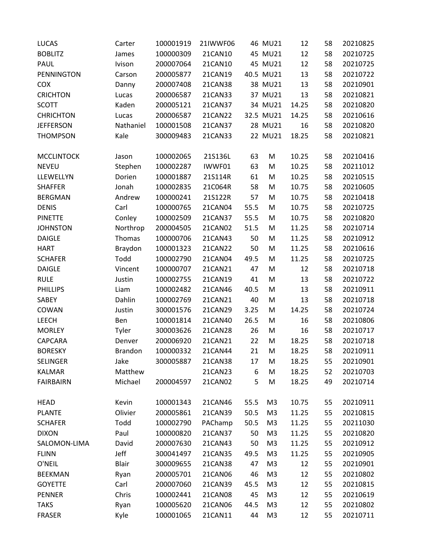| <b>LUCAS</b>      | Carter         | 100001919 | 21IWWF06 |      | 46 MU21        | 12    | 58 | 20210825 |
|-------------------|----------------|-----------|----------|------|----------------|-------|----|----------|
| <b>BOBLITZ</b>    | James          | 100000309 | 21CAN10  |      | 45 MU21        | 12    | 58 | 20210725 |
| PAUL              | Ivison         | 200007064 | 21CAN10  |      | 45 MU21        | 12    | 58 | 20210725 |
| PENNINGTON        | Carson         | 200005877 | 21CAN19  |      | 40.5 MU21      | 13    | 58 | 20210722 |
| COX               | Danny          | 200007408 | 21CAN38  |      | 38 MU21        | 13    | 58 | 20210901 |
| <b>CRICHTON</b>   | Lucas          | 200006587 | 21CAN33  |      | 37 MU21        | 13    | 58 | 20210821 |
| <b>SCOTT</b>      | Kaden          | 200005121 | 21CAN37  |      | 34 MU21        | 14.25 | 58 | 20210820 |
| <b>CHRICHTON</b>  | Lucas          | 200006587 | 21CAN22  |      | 32.5 MU21      | 14.25 | 58 | 20210616 |
| <b>JEFFERSON</b>  | Nathaniel      | 100001508 | 21CAN37  |      | 28 MU21        | 16    | 58 | 20210820 |
| <b>THOMPSON</b>   | Kale           | 300009483 | 21CAN33  |      | 22 MU21        | 18.25 | 58 | 20210821 |
| <b>MCCLINTOCK</b> | Jason          | 100002065 | 21S136L  | 63   | M              | 10.25 | 58 | 20210416 |
| <b>NEVEU</b>      | Stephen        | 100002287 | IWWF01   | 63   | M              | 10.25 | 58 | 20211012 |
| LLEWELLYN         | Dorien         | 100001887 | 21S114R  | 61   | M              | 10.25 | 58 | 20210515 |
| <b>SHAFFER</b>    | Jonah          | 100002835 | 21C064R  | 58   | M              | 10.75 | 58 | 20210605 |
| <b>BERGMAN</b>    | Andrew         | 100000241 | 21S122R  | 57   | M              | 10.75 | 58 | 20210418 |
| <b>DENIS</b>      | Carl           | 100000765 | 21CAN04  | 55.5 | M              | 10.75 | 58 | 20210725 |
| <b>PINETTE</b>    | Conley         | 100002509 | 21CAN37  | 55.5 | M              | 10.75 | 58 | 20210820 |
| <b>JOHNSTON</b>   | Northrop       | 200004505 | 21CAN02  | 51.5 | M              | 11.25 | 58 | 20210714 |
| <b>DAIGLE</b>     | Thomas         | 100000706 | 21CAN43  | 50   | M              | 11.25 | 58 | 20210912 |
| <b>HART</b>       | Braydon        | 100001323 | 21CAN22  | 50   | M              | 11.25 | 58 | 20210616 |
| <b>SCHAFER</b>    | Todd           | 100002790 | 21CAN04  | 49.5 | M              | 11.25 | 58 | 20210725 |
| <b>DAIGLE</b>     | Vincent        | 100000707 | 21CAN21  | 47   | M              | 12    | 58 | 20210718 |
| <b>RULE</b>       | Justin         | 100002755 | 21CAN19  | 41   | M              | 13    | 58 | 20210722 |
| <b>PHILLIPS</b>   | Liam           | 100002482 | 21CAN46  | 40.5 | M              | 13    | 58 | 20210911 |
| SABEY             | Dahlin         | 100002769 | 21CAN21  | 40   | M              | 13    | 58 | 20210718 |
| COWAN             | Justin         | 300001576 | 21CAN29  | 3.25 | M              | 14.25 | 58 | 20210724 |
| LEECH             | Ben            | 100001814 | 21CAN40  | 26.5 | M              | 16    | 58 | 20210806 |
| <b>MORLEY</b>     | Tyler          | 300003626 | 21CAN28  | 26   | M              | 16    | 58 | 20210717 |
| CAPCARA           | Denver         | 200006920 | 21CAN21  | 22   | M              | 18.25 | 58 | 20210718 |
| <b>BORESKY</b>    | <b>Brandon</b> | 100000332 | 21CAN44  | 21   | M              | 18.25 | 58 | 20210911 |
| SELINGER          | Jake           | 300005887 | 21CAN38  | 17   | M              | 18.25 | 55 | 20210901 |
| <b>KALMAR</b>     | Matthew        |           | 21CAN23  | 6    | M              | 18.25 | 52 | 20210703 |
| <b>FAIRBAIRN</b>  | Michael        | 200004597 | 21CAN02  | 5    | M              | 18.25 | 49 | 20210714 |
| <b>HEAD</b>       | Kevin          | 100001343 | 21CAN46  | 55.5 | M <sub>3</sub> | 10.75 | 55 | 20210911 |
| <b>PLANTE</b>     | Olivier        | 200005861 | 21CAN39  | 50.5 | M <sub>3</sub> | 11.25 | 55 | 20210815 |
| <b>SCHAFER</b>    | Todd           | 100002790 | PAChamp  | 50.5 | M <sub>3</sub> | 11.25 | 55 | 20211030 |
| <b>DIXON</b>      | Paul           | 100000820 | 21CAN37  | 50   | M <sub>3</sub> | 11.25 | 55 | 20210820 |
| SALOMON-LIMA      | David          | 200007630 | 21CAN43  | 50   | M <sub>3</sub> | 11.25 | 55 | 20210912 |
| <b>FLINN</b>      | Jeff           | 300041497 | 21CAN35  | 49.5 | M <sub>3</sub> | 11.25 | 55 | 20210905 |
| O'NEIL            | Blair          | 300009655 | 21CAN38  | 47   | M <sub>3</sub> | 12    | 55 | 20210901 |
| <b>BEEKMAN</b>    | Ryan           | 200005701 | 21CAN06  | 46   | M <sub>3</sub> | 12    | 55 | 20210802 |
| <b>GOYETTE</b>    | Carl           | 200007060 | 21CAN39  | 45.5 | M <sub>3</sub> | 12    | 55 | 20210815 |
| <b>PENNER</b>     | Chris          | 100002441 | 21CAN08  | 45   | M <sub>3</sub> | 12    | 55 | 20210619 |
| <b>TAKS</b>       | Ryan           | 100005620 | 21CAN06  | 44.5 | M <sub>3</sub> | 12    | 55 | 20210802 |
| <b>FRASER</b>     | Kyle           | 100001065 | 21CAN11  | 44   | M <sub>3</sub> | 12    | 55 | 20210711 |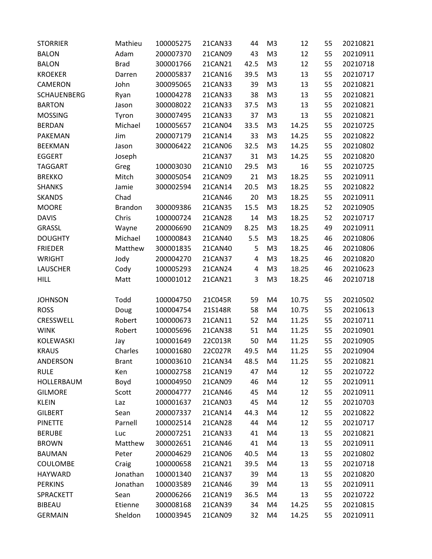| <b>STORRIER</b>    | Mathieu        | 100005275 | 21CAN33        | 44   | M <sub>3</sub> | 12    | 55 | 20210821 |
|--------------------|----------------|-----------|----------------|------|----------------|-------|----|----------|
| <b>BALON</b>       | Adam           | 200007370 | 21CAN09        | 43   | M <sub>3</sub> | 12    | 55 | 20210911 |
| <b>BALON</b>       | <b>Brad</b>    | 300001766 | 21CAN21        | 42.5 | M <sub>3</sub> | 12    | 55 | 20210718 |
| <b>KROEKER</b>     | Darren         | 200005837 | 21CAN16        | 39.5 | M <sub>3</sub> | 13    | 55 | 20210717 |
| CAMERON            | John           | 300095065 | 21CAN33        | 39   | M <sub>3</sub> | 13    | 55 | 20210821 |
| <b>SCHAUENBERG</b> | Ryan           | 100004278 | 21CAN33        | 38   | M <sub>3</sub> | 13    | 55 | 20210821 |
| <b>BARTON</b>      | Jason          | 300008022 | 21CAN33        | 37.5 | M <sub>3</sub> | 13    | 55 | 20210821 |
| <b>MOSSING</b>     | Tyron          | 300007495 | 21CAN33        | 37   | M <sub>3</sub> | 13    | 55 | 20210821 |
| <b>BERDAN</b>      | Michael        | 100005657 | 21CAN04        | 33.5 | M <sub>3</sub> | 14.25 | 55 | 20210725 |
| PAKEMAN            | Jim            | 200007179 | 21CAN14        | 33   | M <sub>3</sub> | 14.25 | 55 | 20210822 |
| <b>BEEKMAN</b>     | Jason          | 300006422 | 21CAN06        | 32.5 | M <sub>3</sub> | 14.25 | 55 | 20210802 |
| <b>EGGERT</b>      | Joseph         |           | 21CAN37        | 31   | M <sub>3</sub> | 14.25 | 55 | 20210820 |
| <b>TAGGART</b>     | Greg           | 100003030 | 21CAN10        | 29.5 | M <sub>3</sub> | 16    | 55 | 20210725 |
| <b>BREKKO</b>      | Mitch          | 300005054 | 21CAN09        | 21   | M <sub>3</sub> | 18.25 | 55 | 20210911 |
| <b>SHANKS</b>      | Jamie          | 300002594 | 21CAN14        | 20.5 | M <sub>3</sub> | 18.25 | 55 | 20210822 |
| <b>SKANDS</b>      | Chad           |           | 21CAN46        | 20   | M <sub>3</sub> | 18.25 | 55 | 20210911 |
| <b>MOORE</b>       | <b>Brandon</b> | 300009386 | 21CAN35        | 15.5 | M <sub>3</sub> | 18.25 | 52 | 20210905 |
| <b>DAVIS</b>       | Chris          | 100000724 | 21CAN28        | 14   | M <sub>3</sub> | 18.25 | 52 | 20210717 |
| <b>GRASSL</b>      | Wayne          | 200006690 | 21CAN09        | 8.25 | M <sub>3</sub> | 18.25 | 49 | 20210911 |
| <b>DOUGHTY</b>     | Michael        | 100000843 | 21CAN40        | 5.5  | M <sub>3</sub> | 18.25 | 46 | 20210806 |
| <b>FRIEDER</b>     | Matthew        | 300001835 | 21CAN40        | 5    | M <sub>3</sub> | 18.25 | 46 | 20210806 |
| <b>WRIGHT</b>      | Jody           | 200004270 | 21CAN37        | 4    | M <sub>3</sub> | 18.25 | 46 | 20210820 |
| <b>LAUSCHER</b>    | Cody           | 100005293 | 21CAN24        | 4    | M <sub>3</sub> | 18.25 | 46 | 20210623 |
| <b>HILL</b>        | Matt           | 100001012 | 21CAN21        | 3    | M <sub>3</sub> | 18.25 | 46 | 20210718 |
| <b>JOHNSON</b>     | Todd           | 100004750 | 21C045R        | 59   | M4             | 10.75 | 55 | 20210502 |
| <b>ROSS</b>        | Doug           | 100004754 | 21S148R        | 58   | M4             | 10.75 | 55 | 20210613 |
| CRESSWELL          | Robert         | 100000673 | 21CAN11        | 52   | M4             | 11.25 | 55 | 20210711 |
| <b>WINK</b>        | Robert         | 100005696 | <b>21CAN38</b> | 51   | M4             | 11.25 | 55 | 20210901 |
| KOLEWASKI          | Jay            | 100001649 | 22C013R        | 50   | M4             | 11.25 | 55 | 20210905 |
| <b>KRAUS</b>       | Charles        | 100001680 | 22C027R        | 49.5 | M4             | 11.25 | 55 | 20210904 |
| ANDERSON           | <b>Brant</b>   | 100003610 | 21CAN34        | 48.5 | M4             | 11.25 | 55 | 20210821 |
| <b>RULE</b>        | Ken            | 100002758 | 21CAN19        | 47   | M4             | 12    | 55 | 20210722 |
| HOLLERBAUM         | Boyd           | 100004950 | 21CAN09        | 46   | M4             | 12    | 55 | 20210911 |
| <b>GILMORE</b>     | Scott          | 200004777 | 21CAN46        | 45   | M4             | 12    | 55 | 20210911 |
| <b>KLEIN</b>       | Laz            | 100001637 | 21CAN03        | 45   | M4             | 12    | 55 | 20210703 |
| <b>GILBERT</b>     | Sean           | 200007337 | 21CAN14        | 44.3 | M4             | 12    | 55 | 20210822 |
| <b>PINETTE</b>     | Parnell        | 100002514 | 21CAN28        | 44   | M4             | 12    | 55 | 20210717 |
| <b>BERUBE</b>      | Luc            | 200007251 | 21CAN33        | 41   | M4             | 13    | 55 | 20210821 |
| <b>BROWN</b>       | Matthew        | 300002651 | 21CAN46        | 41   | M4             | 13    | 55 | 20210911 |
| <b>BAUMAN</b>      | Peter          | 200004629 | 21CAN06        | 40.5 | M4             | 13    | 55 | 20210802 |
| <b>COULOMBE</b>    | Craig          | 100000658 | 21CAN21        | 39.5 | M4             | 13    | 55 | 20210718 |
| HAYWARD            | Jonathan       | 100001340 | 21CAN37        | 39   | M4             | 13    | 55 | 20210820 |
| <b>PERKINS</b>     | Jonathan       | 100003589 | 21CAN46        | 39   | M4             | 13    | 55 | 20210911 |
| SPRACKETT          | Sean           | 200006266 | 21CAN19        | 36.5 | M4             | 13    | 55 | 20210722 |
| <b>BIBEAU</b>      | Etienne        | 300008168 | 21CAN39        | 34   | M4             | 14.25 | 55 | 20210815 |
| <b>GERMAIN</b>     | Sheldon        | 100003945 | 21CAN09        | 32   | M4             | 14.25 | 55 | 20210911 |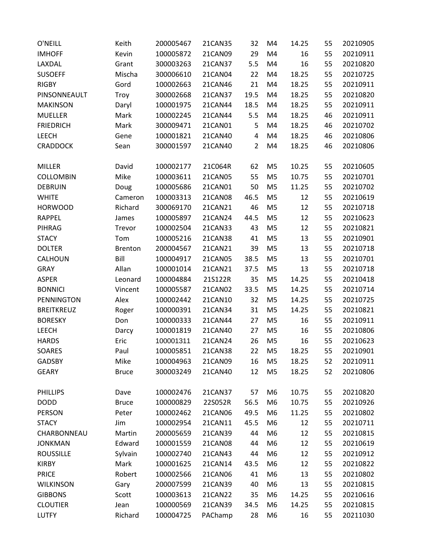| O'NEILL           | Keith          | 200005467 | 21CAN35        | 32             | M <sub>4</sub> | 14.25 | 55 | 20210905 |
|-------------------|----------------|-----------|----------------|----------------|----------------|-------|----|----------|
| <b>IMHOFF</b>     | Kevin          | 100005872 | 21CAN09        | 29             | M4             | 16    | 55 | 20210911 |
| LAXDAL            | Grant          | 300003263 | 21CAN37        | 5.5            | M4             | 16    | 55 | 20210820 |
| <b>SUSOEFF</b>    | Mischa         | 300006610 | 21CAN04        | 22             | M4             | 18.25 | 55 | 20210725 |
| <b>RIGBY</b>      | Gord           | 100002663 | 21CAN46        | 21             | M4             | 18.25 | 55 | 20210911 |
| PINSONNEAULT      | Troy           | 300002668 | 21CAN37        | 19.5           | M4             | 18.25 | 55 | 20210820 |
| <b>MAKINSON</b>   | Daryl          | 100001975 | 21CAN44        | 18.5           | M4             | 18.25 | 55 | 20210911 |
| <b>MUELLER</b>    | Mark           | 100002245 | 21CAN44        | 5.5            | M4             | 18.25 | 46 | 20210911 |
| <b>FRIEDRICH</b>  | Mark           | 300009471 | 21CAN01        | 5              | M4             | 18.25 | 46 | 20210702 |
| <b>LEECH</b>      | Gene           | 100001821 | 21CAN40        | 4              | M4             | 18.25 | 46 | 20210806 |
| <b>CRADDOCK</b>   | Sean           | 300001597 | 21CAN40        | $\overline{2}$ | M4             | 18.25 | 46 | 20210806 |
| <b>MILLER</b>     | David          | 100002177 | 21C064R        | 62             | M <sub>5</sub> | 10.25 | 55 | 20210605 |
| <b>COLLOMBIN</b>  | Mike           | 100003611 | <b>21CAN05</b> | 55             | M <sub>5</sub> | 10.75 | 55 | 20210701 |
| <b>DEBRUIN</b>    | Doug           | 100005686 | 21CAN01        | 50             | M <sub>5</sub> | 11.25 | 55 | 20210702 |
| <b>WHITE</b>      | Cameron        | 100003313 | <b>21CAN08</b> | 46.5           | M <sub>5</sub> | 12    | 55 | 20210619 |
| <b>HORWOOD</b>    | Richard        | 300069170 | 21CAN21        | 46             | M <sub>5</sub> | 12    | 55 | 20210718 |
| <b>RAPPEL</b>     | James          | 100005897 | 21CAN24        | 44.5           | M <sub>5</sub> | 12    | 55 | 20210623 |
| PIHRAG            | Trevor         | 100002504 | 21CAN33        | 43             | M <sub>5</sub> | 12    | 55 | 20210821 |
| <b>STACY</b>      | Tom            | 100005216 | 21CAN38        | 41             | M <sub>5</sub> | 13    | 55 | 20210901 |
| <b>DOLTER</b>     | <b>Brenton</b> | 200004567 | 21CAN21        | 39             | M <sub>5</sub> | 13    | 55 | 20210718 |
| CALHOUN           | Bill           | 100004917 | 21CAN05        | 38.5           | M <sub>5</sub> | 13    | 55 | 20210701 |
| <b>GRAY</b>       | Allan          | 100001014 | 21CAN21        | 37.5           | M <sub>5</sub> | 13    | 55 | 20210718 |
| <b>ASPER</b>      | Leonard        | 100004884 | 21S122R        | 35             | M <sub>5</sub> | 14.25 | 55 | 20210418 |
| <b>BONNICI</b>    | Vincent        | 100005587 | 21CAN02        | 33.5           | M <sub>5</sub> | 14.25 | 55 | 20210714 |
| PENNINGTON        | Alex           | 100002442 | 21CAN10        | 32             | M <sub>5</sub> | 14.25 | 55 | 20210725 |
| <b>BREITKREUZ</b> | Roger          | 100000391 | 21CAN34        | 31             | M <sub>5</sub> | 14.25 | 55 | 20210821 |
| <b>BORESKY</b>    | Don            | 100000333 | 21CAN44        | 27             | M <sub>5</sub> | 16    | 55 | 20210911 |
| <b>LEECH</b>      | Darcy          | 100001819 | 21CAN40        | 27             | M <sub>5</sub> | 16    | 55 | 20210806 |
| <b>HARDS</b>      | Eric           | 100001311 | 21CAN24        | 26             | M <sub>5</sub> | 16    | 55 | 20210623 |
| <b>SOARES</b>     | Paul           | 100005851 | 21CAN38        | 22             | M <sub>5</sub> | 18.25 | 55 | 20210901 |
| <b>GADSBY</b>     | Mike           | 100004963 | 21CAN09        | 16             | M <sub>5</sub> | 18.25 | 52 | 20210911 |
| <b>GEARY</b>      | <b>Bruce</b>   | 300003249 | 21CAN40        | 12             | M <sub>5</sub> | 18.25 | 52 | 20210806 |
| <b>PHILLIPS</b>   | Dave           | 100002476 | 21CAN37        | 57             | M <sub>6</sub> | 10.75 | 55 | 20210820 |
| <b>DODD</b>       | <b>Bruce</b>   | 100000829 | 22S052R        | 56.5           | M <sub>6</sub> | 10.75 | 55 | 20210926 |
| <b>PERSON</b>     | Peter          | 100002462 | 21CAN06        | 49.5           | M <sub>6</sub> | 11.25 | 55 | 20210802 |
| <b>STACY</b>      | Jim            | 100002954 | 21CAN11        | 45.5           | M <sub>6</sub> | 12    | 55 | 20210711 |
| CHARBONNEAU       | Martin         | 200005659 | 21CAN39        | 44             | M <sub>6</sub> | 12    | 55 | 20210815 |
| <b>JONKMAN</b>    | Edward         | 100001559 | <b>21CAN08</b> | 44             | M <sub>6</sub> | 12    | 55 | 20210619 |
| <b>ROUSSILLE</b>  | Sylvain        | 100002740 | 21CAN43        | 44             | M <sub>6</sub> | 12    | 55 | 20210912 |
| <b>KIRBY</b>      | Mark           | 100001625 | 21CAN14        | 43.5           | M <sub>6</sub> | 12    | 55 | 20210822 |
| <b>PRICE</b>      | Robert         | 100002566 | 21CAN06        | 41             | M <sub>6</sub> | 13    | 55 | 20210802 |
| <b>WILKINSON</b>  | Gary           | 200007599 | 21CAN39        | 40             | M6             | 13    | 55 | 20210815 |
| <b>GIBBONS</b>    | Scott          | 100003613 | 21CAN22        | 35             | M <sub>6</sub> | 14.25 | 55 | 20210616 |
| <b>CLOUTIER</b>   | Jean           | 100000569 | 21CAN39        | 34.5           | M6             | 14.25 | 55 | 20210815 |
| <b>LUTFY</b>      | Richard        | 100004725 | PAChamp        | 28             | M <sub>6</sub> | 16    | 55 | 20211030 |